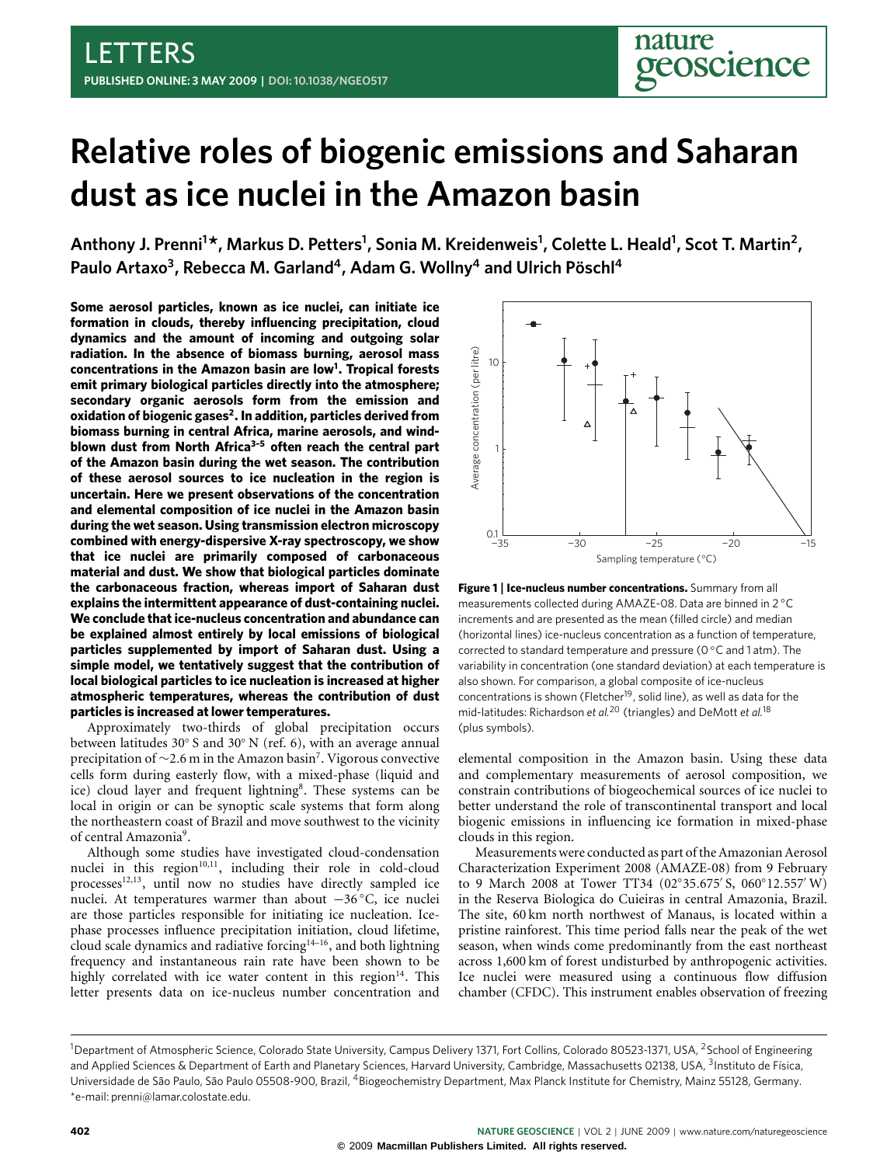# <span id="page-0-1"></span>**Relative roles of biogenic emissions and Saharan dust as ice nuclei in the Amazon basin**

**Anthony J. Prenni<sup>1</sup> \*, Markus D. Petters<sup>1</sup> , Sonia M. Kreidenweis<sup>1</sup> , Colette L. Heald<sup>1</sup> , Scot T. Martin<sup>2</sup> , Paulo Artaxo<sup>3</sup> , Rebecca M. Garland<sup>4</sup> , Adam G. Wollny<sup>4</sup> and Ulrich Pöschl<sup>4</sup>**

**Some aerosol particles, known as ice nuclei, can initiate ice formation in clouds, thereby influencing precipitation, cloud dynamics and the amount of incoming and outgoing solar radiation. In the absence of biomass burning, aerosol mass concentrations in the Amazon basin are low[1](#page-3-0) . Tropical forests emit primary biological particles directly into the atmosphere; secondary organic aerosols form from the emission and oxidation of biogenic gases[2](#page-3-1) . In addition, particles derived from biomass burning in central Africa, marine aerosols, and windblown dust from North Africa[3–](#page-3-2)[5](#page-3-3) often reach the central part of the Amazon basin during the wet season. The contribution of these aerosol sources to ice nucleation in the region is uncertain. Here we present observations of the concentration and elemental composition of ice nuclei in the Amazon basin during the wet season. Using transmission electron microscopy combined with energy-dispersive X-ray spectroscopy, we show that ice nuclei are primarily composed of carbonaceous material and dust. We show that biological particles dominate the carbonaceous fraction, whereas import of Saharan dust explains the intermittent appearance of dust-containing nuclei. We conclude that ice-nucleus concentration and abundance can be explained almost entirely by local emissions of biological particles supplemented by import of Saharan dust. Using a simple model, we tentatively suggest that the contribution of local biological particles to ice nucleation is increased at higher atmospheric temperatures, whereas the contribution of dust particles is increased at lower temperatures.**

Approximately two-thirds of global precipitation occurs between latitudes 30° S and 30° N (ref. [6\)](#page-3-4), with an average annual precipitation of ~2.6 m in the Amazon basin<sup>[7](#page-3-5)</sup>. Vigorous convective cells form during easterly flow, with a mixed-phase (liquid and ice) cloud layer and frequent lightning<sup>[8](#page-3-6)</sup>. These systems can be local in origin or can be synoptic scale systems that form along the northeastern coast of Brazil and move southwest to the vicinity of central Amazonia<sup>[9](#page-3-7)</sup>.

Although some studies have investigated cloud-condensation nuclei in this region<sup>[10,](#page-3-8)[11](#page-3-9)</sup>, including their role in cold-cloud processes<sup>[12,](#page-3-10)[13](#page-3-11)</sup>, until now no studies have directly sampled ice nuclei. At temperatures warmer than about −36 ◦C, ice nuclei are those particles responsible for initiating ice nucleation. Icephase processes influence precipitation initiation, cloud lifetime, cloud scale dynamics and radiative forcing[14](#page-3-12)[–16](#page-3-13), and both lightning frequency and instantaneous rain rate have been shown to be highly correlated with ice water content in this region $14$ . This letter presents data on ice-nucleus number concentration and



<span id="page-0-0"></span>**Figure 1** | **Ice-nucleus number concentrations.** Summary from all measurements collected during AMAZE-08. Data are binned in 2 ◦C increments and are presented as the mean (filled circle) and median (horizontal lines) ice-nucleus concentration as a function of temperature, corrected to standard temperature and pressure (0 ◦C and 1 atm). The variability in concentration (one standard deviation) at each temperature is also shown. For comparison, a global composite of ice-nucleus concentrations is shown (Fletcher<sup>[19](#page-3-14)</sup>, solid line), as well as data for the mid-latitudes: Richardson *et al.*[20](#page-3-15) (triangles) and DeMott *et al.*[18](#page-3-16) (plus symbols).

elemental composition in the Amazon basin. Using these data and complementary measurements of aerosol composition, we constrain contributions of biogeochemical sources of ice nuclei to better understand the role of transcontinental transport and local biogenic emissions in influencing ice formation in mixed-phase clouds in this region.

Measurements were conducted as part of the Amazonian Aerosol Characterization Experiment 2008 (AMAZE-08) from 9 February to 9 March 2008 at Tower TT34 (02°35.675' S, 060°12.557' W) in the Reserva Biologica do Cuieiras in central Amazonia, Brazil. The site, 60 km north northwest of Manaus, is located within a pristine rainforest. This time period falls near the peak of the wet season, when winds come predominantly from the east northeast across 1,600 km of forest undisturbed by anthropogenic activities. Ice nuclei were measured using a continuous flow diffusion chamber (CFDC). This instrument enables observation of freezing

<sup>&</sup>lt;sup>1</sup>Department of Atmospheric Science, Colorado State University, Campus Delivery 1371, Fort Collins, Colorado 80523-1371, USA, <sup>2</sup>School of Engineering and Applied Sciences & Department of Earth and Planetary Sciences, Harvard University, Cambridge, Massachusetts 02138, USA, <sup>3</sup>Instituto de Física, Universidade de São Paulo, São Paulo 05508-900, Brazil, <sup>4</sup>Biogeochemistry Department, Max Planck Institute for Chemistry, Mainz 55128, Germany. \*e-mail: [prenni@lamar.colostate.edu.](mailto:prenni@lamar.colostate.edu)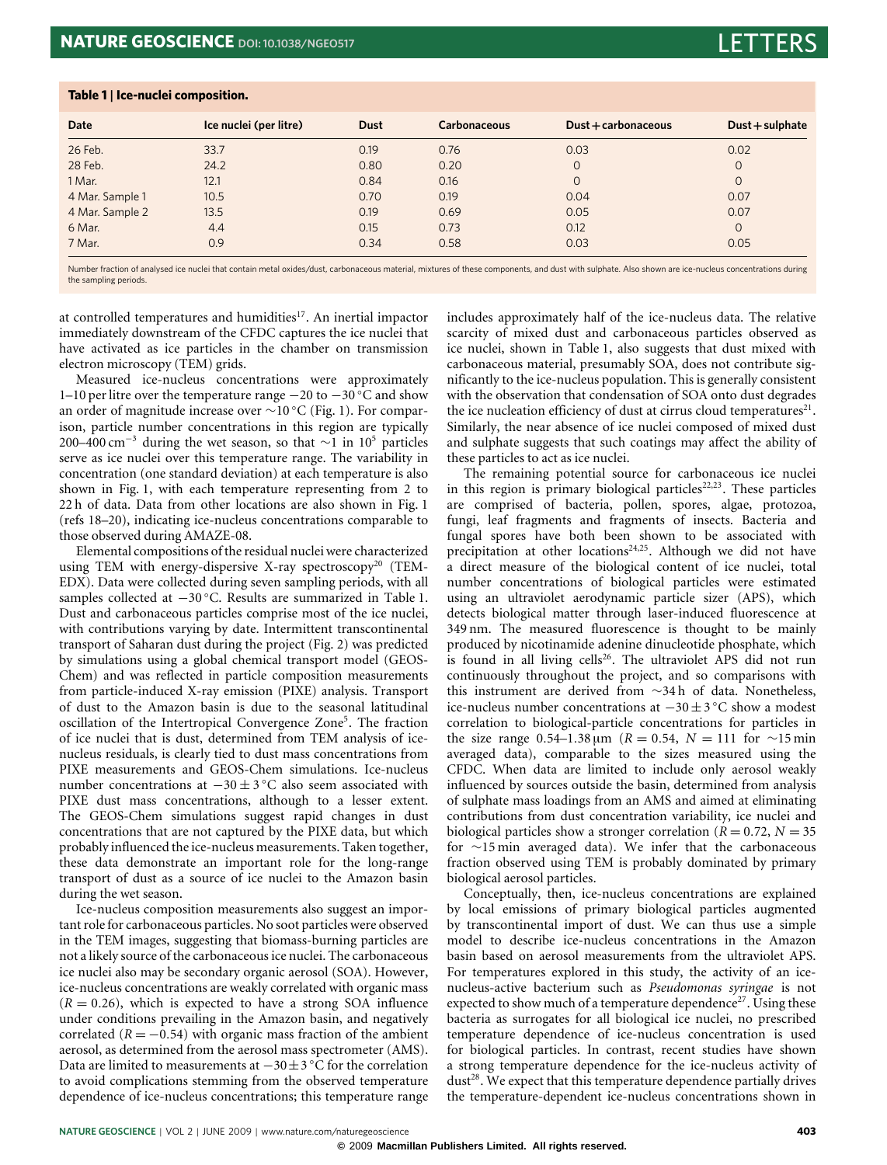<span id="page-1-0"></span>**Table 1** | **Ice-nuclei composition.**

| Date            | Ice nuclei (per litre) | <b>Dust</b> | Carbonaceous | Dust + carbonaceous | $Dust + sulphate$ |
|-----------------|------------------------|-------------|--------------|---------------------|-------------------|
| 26 Feb.         | 33.7                   | 0.19        | 0.76         | 0.03                | 0.02              |
| 28 Feb.         | 24.2                   | 0.80        | 0.20         | $\Omega$            | 0                 |
| 1 Mar.          | 12.1                   | 0.84        | 0.16         | $\Omega$            | $\Omega$          |
| 4 Mar. Sample 1 | 10.5                   | 0.70        | 0.19         | 0.04                | 0.07              |
| 4 Mar. Sample 2 | 13.5                   | 0.19        | 0.69         | 0.05                | 0.07              |
| 6 Mar.          | 4.4                    | 0.15        | 0.73         | 0.12                | $\Omega$          |
| 7 Mar.          | 0.9                    | 0.34        | 0.58         | 0.03                | 0.05              |

Number fraction of analysed ice nuclei that contain metal oxides/dust, carbonaceous material, mixtures of these components, and dust with sulphate. Also shown are ice-nucleus concentrations during the sampling periods.

at controlled temperatures and humidities<sup>[17](#page-3-17)</sup>. An inertial impactor immediately downstream of the CFDC captures the ice nuclei that have activated as ice particles in the chamber on transmission electron microscopy (TEM) grids.

Measured ice-nucleus concentrations were approximately 1–10 per litre over the temperature range −20 to −30 ◦C and show an order of magnitude increase over ∼10 ◦C [\(Fig.](#page-0-0) [1\)](#page-0-0). For comparison, particle number concentrations in this region are typically 200–400 cm<sup>-3</sup> during the wet season, so that ∼1 in 10<sup>5</sup> particles serve as ice nuclei over this temperature range. The variability in concentration (one standard deviation) at each temperature is also shown in [Fig.](#page-0-0) [1,](#page-0-0) with each temperature representing from 2 to 22 h of data. Data from other locations are also shown in [Fig.](#page-0-0) [1](#page-0-0) (refs [18–](#page-3-16)[20\)](#page-3-15), indicating ice-nucleus concentrations comparable to those observed during AMAZE-08.

Elemental compositions of the residual nuclei were characterized using TEM with energy-dispersive X-ray spectroscopy<sup>[20](#page-3-15)</sup> (TEM-EDX). Data were collected during seven sampling periods, with all samples collected at −30 ◦C. Results are summarized in [Table](#page-1-0) [1.](#page-1-0) Dust and carbonaceous particles comprise most of the ice nuclei, with contributions varying by date. Intermittent transcontinental transport of Saharan dust during the project [\(Fig.](#page-2-0) [2\)](#page-2-0) was predicted by simulations using a global chemical transport model (GEOS-Chem) and was reflected in particle composition measurements from particle-induced X-ray emission (PIXE) analysis. Transport of dust to the Amazon basin is due to the seasonal latitudinal oscillation of the Intertropical Convergence Zone<sup>[5](#page-3-3)</sup>. The fraction of ice nuclei that is dust, determined from TEM analysis of icenucleus residuals, is clearly tied to dust mass concentrations from PIXE measurements and GEOS-Chem simulations. Ice-nucleus number concentrations at  $-30 \pm 3$ °C also seem associated with PIXE dust mass concentrations, although to a lesser extent. The GEOS-Chem simulations suggest rapid changes in dust concentrations that are not captured by the PIXE data, but which probably influenced the ice-nucleus measurements. Taken together, these data demonstrate an important role for the long-range transport of dust as a source of ice nuclei to the Amazon basin during the wet season.

Ice-nucleus composition measurements also suggest an important role for carbonaceous particles. No soot particles were observed in the TEM images, suggesting that biomass-burning particles are not a likely source of the carbonaceous ice nuclei. The carbonaceous ice nuclei also may be secondary organic aerosol (SOA). However, ice-nucleus concentrations are weakly correlated with organic mass  $(R = 0.26)$ , which is expected to have a strong SOA influence under conditions prevailing in the Amazon basin, and negatively correlated  $(R = -0.54)$  with organic mass fraction of the ambient aerosol, as determined from the aerosol mass spectrometer (AMS). Data are limited to measurements at  $-30 \pm 3$  °C for the correlation to avoid complications stemming from the observed temperature dependence of ice-nucleus concentrations; this temperature range

includes approximately half of the ice-nucleus data. The relative scarcity of mixed dust and carbonaceous particles observed as ice nuclei, shown in [Table](#page-1-0) [1,](#page-1-0) also suggests that dust mixed with carbonaceous material, presumably SOA, does not contribute significantly to the ice-nucleus population. This is generally consistent with the observation that condensation of SOA onto dust degrades the ice nucleation efficiency of dust at cirrus cloud temperatures $21$ . Similarly, the near absence of ice nuclei composed of mixed dust and sulphate suggests that such coatings may affect the ability of these particles to act as ice nuclei.

The remaining potential source for carbonaceous ice nuclei in this region is primary biological particles<sup> $22,23$  $22,23$ </sup>. These particles are comprised of bacteria, pollen, spores, algae, protozoa, fungi, leaf fragments and fragments of insects. Bacteria and fungal spores have both been shown to be associated with precipitation at other locations<sup>[24](#page-3-21)[,25](#page-3-22)</sup>. Although we did not have a direct measure of the biological content of ice nuclei, total number concentrations of biological particles were estimated using an ultraviolet aerodynamic particle sizer (APS), which detects biological matter through laser-induced fluorescence at 349 nm. The measured fluorescence is thought to be mainly produced by nicotinamide adenine dinucleotide phosphate, which is found in all living cells<sup>[26](#page-3-23)</sup>. The ultraviolet APS did not run continuously throughout the project, and so comparisons with this instrument are derived from ∼34 h of data. Nonetheless, ice-nucleus number concentrations at −30±3 ◦C show a modest correlation to biological-particle concentrations for particles in the size range 0.54–1.38 µm (*R* = 0.54, *N* = 111 for ∼15 min averaged data), comparable to the sizes measured using the CFDC. When data are limited to include only aerosol weakly influenced by sources outside the basin, determined from analysis of sulphate mass loadings from an AMS and aimed at eliminating contributions from dust concentration variability, ice nuclei and biological particles show a stronger correlation  $(R = 0.72, N = 35)$ for ∼15 min averaged data). We infer that the carbonaceous fraction observed using TEM is probably dominated by primary biological aerosol particles.

Conceptually, then, ice-nucleus concentrations are explained by local emissions of primary biological particles augmented by transcontinental import of dust. We can thus use a simple model to describe ice-nucleus concentrations in the Amazon basin based on aerosol measurements from the ultraviolet APS. For temperatures explored in this study, the activity of an icenucleus-active bacterium such as *Pseudomonas syringae* is not expected to show much of a temperature dependence<sup>[27](#page-3-24)</sup>. Using these bacteria as surrogates for all biological ice nuclei, no prescribed temperature dependence of ice-nucleus concentration is used for biological particles. In contrast, recent studies have shown a strong temperature dependence for the ice-nucleus activity of dust<sup>[28](#page-3-25)</sup>. We expect that this temperature dependence partially drives the temperature-dependent ice-nucleus concentrations shown in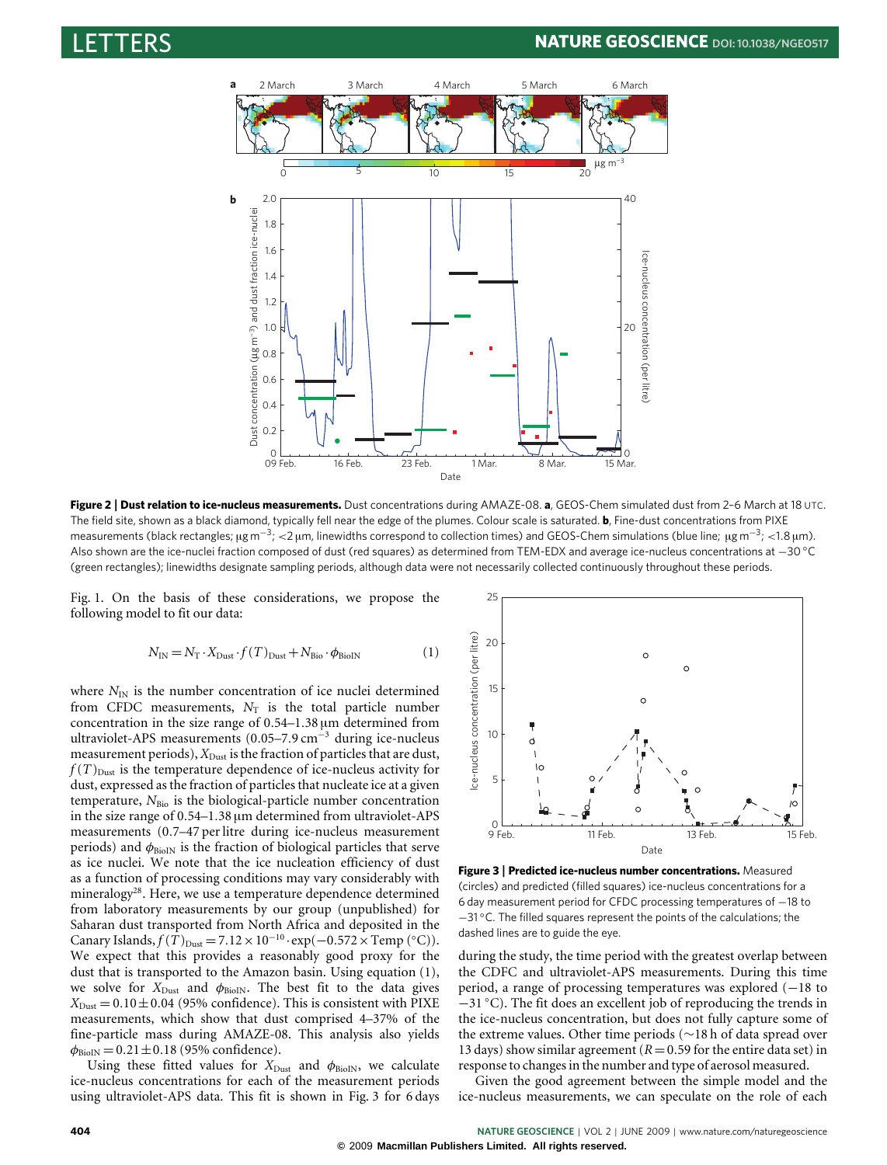

<span id="page-2-0"></span>**Figure 2** | **Dust relation to ice-nucleus measurements.** Dust concentrations during AMAZE-08. **a**, GEOS-Chem simulated dust from 2–6 March at 18 UTC. The field site, shown as a black diamond, typically fell near the edge of the plumes. Colour scale is saturated. **b**, Fine-dust concentrations from PIXE measurements (black rectangles; µg m<sup>-3</sup>; <2 µm, linewidths correspond to collection times) and GEOS-Chem simulations (blue line; µg m<sup>-3</sup>; <1.8 µm). Also shown are the ice-nuclei fraction composed of dust (red squares) as determined from TEM-EDX and average ice-nucleus concentrations at −30 ◦C (green rectangles); linewidths designate sampling periods, although data were not necessarily collected continuously throughout these periods.

[Fig.](#page-0-0) [1.](#page-0-0) On the basis of these considerations, we propose the following model to fit our data:

$$
N_{\rm IN} = N_{\rm T} \cdot X_{\rm Dust} \cdot f(T)_{\rm Dust} + N_{\rm Bio} \cdot \phi_{\rm BioIN}
$$
 (1)

where  $N_{\text{IN}}$  is the number concentration of ice nuclei determined from CFDC measurements,  $N_T$  is the total particle number concentration in the size range of 0.54–1.38 µm determined from ultraviolet-APS measurements (0.05–7.9 cm<sup>−</sup><sup>3</sup> during ice-nucleus measurement periods),  $X_{\text{Dust}}$  is the fraction of particles that are dust,  $f(T)_{\text{Dust}}$  is the temperature dependence of ice-nucleus activity for dust, expressed as the fraction of particles that nucleate ice at a given temperature,  $N_{\text{Bio}}$  is the biological-particle number concentration in the size range of 0.54–1.38 µm determined from ultraviolet-APS measurements (0.7–47 per litre during ice-nucleus measurement periods) and  $\phi_{\text{BiolN}}$  is the fraction of biological particles that serve as ice nuclei. We note that the ice nucleation efficiency of dust as a function of processing conditions may vary considerably with mineralogy<sup>[28](#page-3-25)</sup>. Here, we use a temperature dependence determined from laboratory measurements by our group (unpublished) for Saharan dust transported from North Africa and deposited in the Canary Islands,  $f(T)_{\text{Dust}} = 7.12 \times 10^{-10} \cdot \exp(-0.572 \times \text{Temp} (°C)).$ We expect that this provides a reasonably good proxy for the dust that is transported to the Amazon basin. Using equation [\(1\)](#page-0-1), we solve for  $X_{\text{Dust}}$  and  $\phi_{\text{BioIN}}$ . The best fit to the data gives  $X_{\text{Dust}} = 0.10 \pm 0.04$  (95% confidence). This is consistent with PIXE measurements, which show that dust comprised 4–37% of the fine-particle mass during AMAZE-08. This analysis also yields  $\phi_{\text{BioIN}} = 0.21 \pm 0.18$  (95% confidence).

Using these fitted values for  $X_{\text{Dust}}$  and  $\phi_{\text{BioIN}}$ , we calculate ice-nucleus concentrations for each of the measurement periods using ultraviolet-APS data. This fit is shown in [Fig.](#page-2-1) [3](#page-2-1) for 6 days



<span id="page-2-1"></span>**Figure 3** | **Predicted ice-nucleus number concentrations.** Measured (circles) and predicted (filled squares) ice-nucleus concentrations for a 6 day measurement period for CFDC processing temperatures of −18 to −31 ◦C. The filled squares represent the points of the calculations; the dashed lines are to guide the eye.

during the study, the time period with the greatest overlap between the CDFC and ultraviolet-APS measurements. During this time period, a range of processing temperatures was explored (−18 to −31 ◦C). The fit does an excellent job of reproducing the trends in the ice-nucleus concentration, but does not fully capture some of the extreme values. Other time periods (∼18 h of data spread over 13 days) show similar agreement ( $R = 0.59$  for the entire data set) in response to changes in the number and type of aerosol measured.

Given the good agreement between the simple model and the ice-nucleus measurements, we can speculate on the role of each